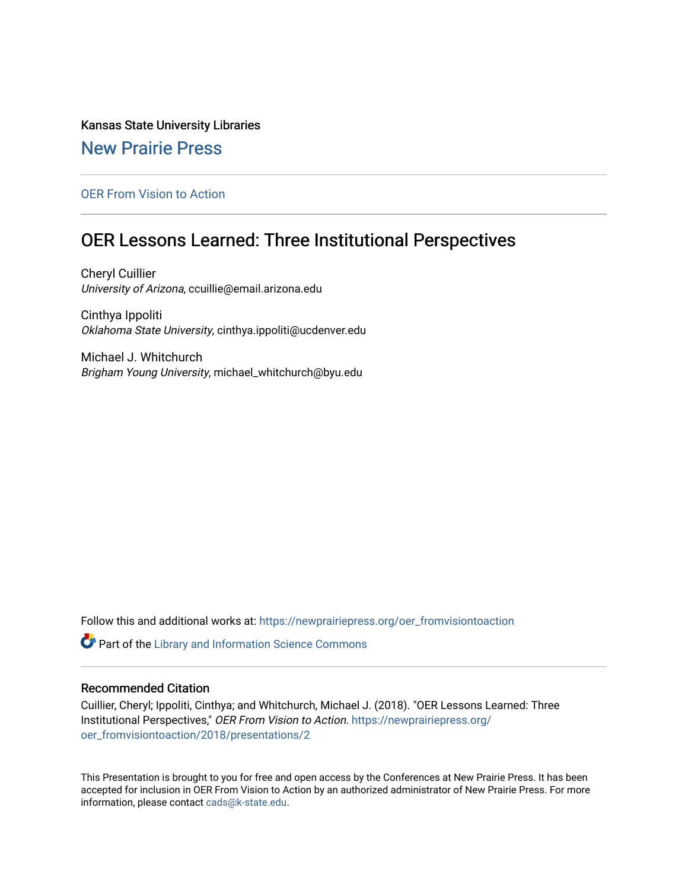## Kansas State University Libraries

## [New Prairie Press](https://newprairiepress.org/)

### [OER From Vision to Action](https://newprairiepress.org/oer_fromvisiontoaction)

# OER Lessons Learned: Three Institutional Perspectives

Cheryl Cuillier University of Arizona, ccuillie@email.arizona.edu

Cinthya Ippoliti Oklahoma State University, cinthya.ippoliti@ucdenver.edu

Michael J. Whitchurch Brigham Young University, michael\_whitchurch@byu.edu

Follow this and additional works at: [https://newprairiepress.org/oer\\_fromvisiontoaction](https://newprairiepress.org/oer_fromvisiontoaction?utm_source=newprairiepress.org%2Foer_fromvisiontoaction%2F2018%2Fpresentations%2F2&utm_medium=PDF&utm_campaign=PDFCoverPages) 

Part of the [Library and Information Science Commons](http://network.bepress.com/hgg/discipline/1018?utm_source=newprairiepress.org%2Foer_fromvisiontoaction%2F2018%2Fpresentations%2F2&utm_medium=PDF&utm_campaign=PDFCoverPages) 

### Recommended Citation

Cuillier, Cheryl; Ippoliti, Cinthya; and Whitchurch, Michael J. (2018). "OER Lessons Learned: Three Institutional Perspectives," OER From Vision to Action. [https://newprairiepress.org/](https://newprairiepress.org/oer_fromvisiontoaction/2018/presentations/2) [oer\\_fromvisiontoaction/2018/presentations/2](https://newprairiepress.org/oer_fromvisiontoaction/2018/presentations/2) 

This Presentation is brought to you for free and open access by the Conferences at New Prairie Press. It has been accepted for inclusion in OER From Vision to Action by an authorized administrator of New Prairie Press. For more information, please contact [cads@k-state.edu](mailto:cads@k-state.edu).